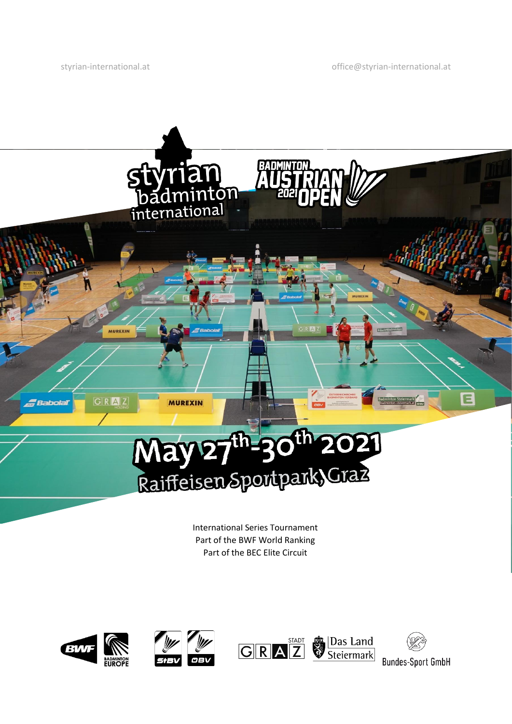[styrian-international.at](http://styrian-international.at/) control [office@styrian-international.at](mailto:office@styrian-international.at)



International Series Tournament Part of the BWF World Ranking Part of the BEC Elite Circuit

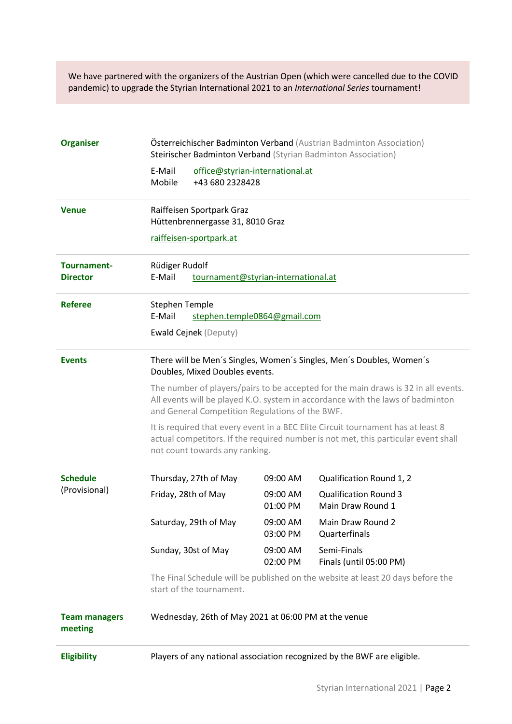We have partnered with the organizers of the Austrian Open (which were cancelled due to the COVID pandemic) to upgrade the Styrian International 2021 to an *International Series* tournament!

| <b>Organiser</b>                 | Österreichischer Badminton Verband (Austrian Badminton Association)<br>Steirischer Badminton Verband (Styrian Badminton Association)<br>E-Mail<br>office@styrian-international.at                                       |                       |                      |                                                   |  |  |  |
|----------------------------------|-------------------------------------------------------------------------------------------------------------------------------------------------------------------------------------------------------------------------|-----------------------|----------------------|---------------------------------------------------|--|--|--|
|                                  |                                                                                                                                                                                                                         |                       |                      |                                                   |  |  |  |
|                                  | Mobile                                                                                                                                                                                                                  | +43 680 2328428       |                      |                                                   |  |  |  |
| <b>Venue</b>                     | Raiffeisen Sportpark Graz<br>Hüttenbrennergasse 31, 8010 Graz                                                                                                                                                           |                       |                      |                                                   |  |  |  |
|                                  | raiffeisen-sportpark.at                                                                                                                                                                                                 |                       |                      |                                                   |  |  |  |
| Tournament-<br><b>Director</b>   | Rüdiger Rudolf<br>E-Mail<br>tournament@styrian-international.at                                                                                                                                                         |                       |                      |                                                   |  |  |  |
| <b>Referee</b>                   | <b>Stephen Temple</b><br>E-Mail<br>stephen.temple0864@gmail.com                                                                                                                                                         |                       |                      |                                                   |  |  |  |
|                                  | Ewald Cejnek (Deputy)                                                                                                                                                                                                   |                       |                      |                                                   |  |  |  |
| <b>Events</b>                    | There will be Men's Singles, Women's Singles, Men's Doubles, Women's<br>Doubles, Mixed Doubles events.                                                                                                                  |                       |                      |                                                   |  |  |  |
|                                  | The number of players/pairs to be accepted for the main draws is 32 in all events.<br>All events will be played K.O. system in accordance with the laws of badminton<br>and General Competition Regulations of the BWF. |                       |                      |                                                   |  |  |  |
|                                  | It is required that every event in a BEC Elite Circuit tournament has at least 8<br>actual competitors. If the required number is not met, this particular event shall<br>not count towards any ranking.                |                       |                      |                                                   |  |  |  |
| <b>Schedule</b><br>(Provisional) |                                                                                                                                                                                                                         | Thursday, 27th of May | 09:00 AM             | Qualification Round 1, 2                          |  |  |  |
|                                  |                                                                                                                                                                                                                         | Friday, 28th of May   | 09:00 AM<br>01:00 PM | <b>Qualification Round 3</b><br>Main Draw Round 1 |  |  |  |
|                                  |                                                                                                                                                                                                                         | Saturday, 29th of May | 09:00 AM<br>03:00 PM | Main Draw Round 2<br>Quarterfinals                |  |  |  |
|                                  |                                                                                                                                                                                                                         | Sunday, 30st of May   | 09:00 AM<br>02:00 PM | Semi-Finals<br>Finals (until 05:00 PM)            |  |  |  |
|                                  | The Final Schedule will be published on the website at least 20 days before the<br>start of the tournament.                                                                                                             |                       |                      |                                                   |  |  |  |
| <b>Team managers</b><br>meeting  | Wednesday, 26th of May 2021 at 06:00 PM at the venue                                                                                                                                                                    |                       |                      |                                                   |  |  |  |
| <b>Eligibility</b>               | Players of any national association recognized by the BWF are eligible.                                                                                                                                                 |                       |                      |                                                   |  |  |  |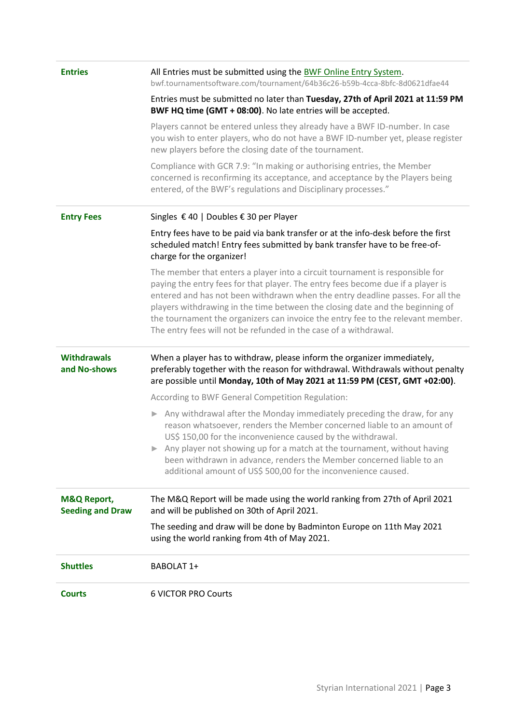| <b>Courts</b>                                     | <b>6 VICTOR PRO Courts</b>                                                                                                                                                                                                                                                                                                                                                                                                                                                                |  |  |  |  |
|---------------------------------------------------|-------------------------------------------------------------------------------------------------------------------------------------------------------------------------------------------------------------------------------------------------------------------------------------------------------------------------------------------------------------------------------------------------------------------------------------------------------------------------------------------|--|--|--|--|
| <b>Shuttles</b>                                   | BABOLAT 1+                                                                                                                                                                                                                                                                                                                                                                                                                                                                                |  |  |  |  |
|                                                   | The seeding and draw will be done by Badminton Europe on 11th May 2021<br>using the world ranking from 4th of May 2021.                                                                                                                                                                                                                                                                                                                                                                   |  |  |  |  |
| <b>M&amp;Q Report,</b><br><b>Seeding and Draw</b> | The M&Q Report will be made using the world ranking from 27th of April 2021<br>and will be published on 30th of April 2021.                                                                                                                                                                                                                                                                                                                                                               |  |  |  |  |
|                                                   | Any withdrawal after the Monday immediately preceding the draw, for any<br>reason whatsoever, renders the Member concerned liable to an amount of<br>US\$ 150,00 for the inconvenience caused by the withdrawal.<br>Any player not showing up for a match at the tournament, without having<br>▶<br>been withdrawn in advance, renders the Member concerned liable to an<br>additional amount of US\$ 500,00 for the inconvenience caused.                                                |  |  |  |  |
|                                                   | According to BWF General Competition Regulation:                                                                                                                                                                                                                                                                                                                                                                                                                                          |  |  |  |  |
| <b>Withdrawals</b><br>and No-shows                | When a player has to withdraw, please inform the organizer immediately,<br>preferably together with the reason for withdrawal. Withdrawals without penalty<br>are possible until Monday, 10th of May 2021 at 11:59 PM (CEST, GMT +02:00).                                                                                                                                                                                                                                                 |  |  |  |  |
|                                                   | The member that enters a player into a circuit tournament is responsible for<br>paying the entry fees for that player. The entry fees become due if a player is<br>entered and has not been withdrawn when the entry deadline passes. For all the<br>players withdrawing in the time between the closing date and the beginning of<br>the tournament the organizers can invoice the entry fee to the relevant member.<br>The entry fees will not be refunded in the case of a withdrawal. |  |  |  |  |
|                                                   | Entry fees have to be paid via bank transfer or at the info-desk before the first<br>scheduled match! Entry fees submitted by bank transfer have to be free-of-<br>charge for the organizer!                                                                                                                                                                                                                                                                                              |  |  |  |  |
| <b>Entry Fees</b>                                 | Singles € 40   Doubles € 30 per Player                                                                                                                                                                                                                                                                                                                                                                                                                                                    |  |  |  |  |
|                                                   | Compliance with GCR 7.9: "In making or authorising entries, the Member<br>concerned is reconfirming its acceptance, and acceptance by the Players being<br>entered, of the BWF's regulations and Disciplinary processes."                                                                                                                                                                                                                                                                 |  |  |  |  |
|                                                   | Players cannot be entered unless they already have a BWF ID-number. In case<br>you wish to enter players, who do not have a BWF ID-number yet, please register<br>new players before the closing date of the tournament.                                                                                                                                                                                                                                                                  |  |  |  |  |
|                                                   | Entries must be submitted no later than Tuesday, 27th of April 2021 at 11:59 PM<br>BWF HQ time (GMT + 08:00). No late entries will be accepted.                                                                                                                                                                                                                                                                                                                                           |  |  |  |  |
| <b>Entries</b>                                    | All Entries must be submitted using the BWF Online Entry System.<br>bwf.tournamentsoftware.com/tournament/64b36c26-b59b-4cca-8bfc-8d0621dfae44                                                                                                                                                                                                                                                                                                                                            |  |  |  |  |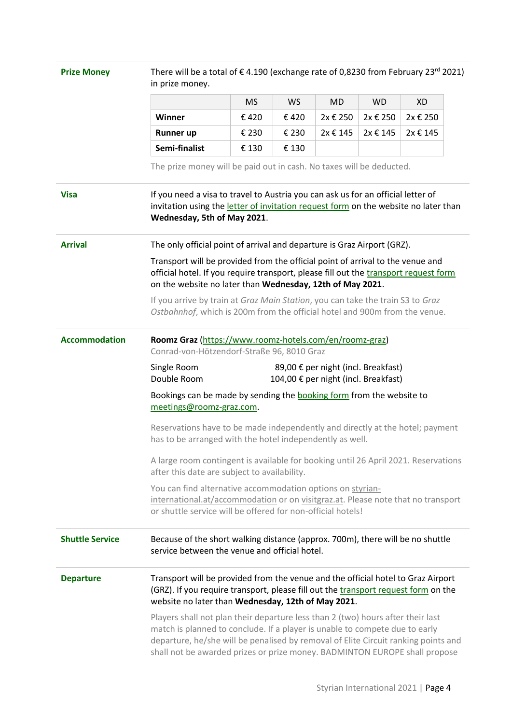| <b>Prize Money</b>                                                                                                                                                                                            | There will be a total of €4.190 (exchange rate of 0,8230 from February 23 <sup>rd</sup> 2021)<br>in prize money.                                                                                                                                                                                                                   |                                                                                                       |           |           |           |           |  |                                                                                                                                                              |
|---------------------------------------------------------------------------------------------------------------------------------------------------------------------------------------------------------------|------------------------------------------------------------------------------------------------------------------------------------------------------------------------------------------------------------------------------------------------------------------------------------------------------------------------------------|-------------------------------------------------------------------------------------------------------|-----------|-----------|-----------|-----------|--|--------------------------------------------------------------------------------------------------------------------------------------------------------------|
|                                                                                                                                                                                                               |                                                                                                                                                                                                                                                                                                                                    | <b>MS</b>                                                                                             | <b>WS</b> | <b>MD</b> | <b>WD</b> | <b>XD</b> |  |                                                                                                                                                              |
|                                                                                                                                                                                                               | Winner                                                                                                                                                                                                                                                                                                                             | €420                                                                                                  | €420      | 2x € 250  | 2x € 250  | 2x € 250  |  |                                                                                                                                                              |
|                                                                                                                                                                                                               | <b>Runner up</b>                                                                                                                                                                                                                                                                                                                   | € 230                                                                                                 | € 230     | 2x € 145  | 2x € 145  | 2x € 145  |  |                                                                                                                                                              |
|                                                                                                                                                                                                               | Semi-finalist                                                                                                                                                                                                                                                                                                                      | € 130                                                                                                 | € 130     |           |           |           |  |                                                                                                                                                              |
|                                                                                                                                                                                                               | The prize money will be paid out in cash. No taxes will be deducted.                                                                                                                                                                                                                                                               |                                                                                                       |           |           |           |           |  |                                                                                                                                                              |
| <b>Visa</b>                                                                                                                                                                                                   | If you need a visa to travel to Austria you can ask us for an official letter of<br>invitation using the letter of invitation request form on the website no later than<br>Wednesday, 5th of May 2021.                                                                                                                             |                                                                                                       |           |           |           |           |  |                                                                                                                                                              |
| <b>Arrival</b>                                                                                                                                                                                                | The only official point of arrival and departure is Graz Airport (GRZ).<br>Transport will be provided from the official point of arrival to the venue and<br>official hotel. If you require transport, please fill out the transport request form<br>on the website no later than Wednesday, 12th of May 2021.                     |                                                                                                       |           |           |           |           |  |                                                                                                                                                              |
|                                                                                                                                                                                                               |                                                                                                                                                                                                                                                                                                                                    |                                                                                                       |           |           |           |           |  | If you arrive by train at Graz Main Station, you can take the train S3 to Graz<br>Ostbahnhof, which is 200m from the official hotel and 900m from the venue. |
|                                                                                                                                                                                                               | <b>Accommodation</b>                                                                                                                                                                                                                                                                                                               | Roomz Graz (https://www.roomz-hotels.com/en/roomz-graz)<br>Conrad-von-Hötzendorf-Straße 96, 8010 Graz |           |           |           |           |  |                                                                                                                                                              |
| Single Room<br>89,00 € per night (incl. Breakfast)<br>Double Room<br>104,00 € per night (incl. Breakfast)                                                                                                     |                                                                                                                                                                                                                                                                                                                                    |                                                                                                       |           |           |           |           |  |                                                                                                                                                              |
| Bookings can be made by sending the <b>booking form</b> from the website to<br>meetings@roomz-graz.com.                                                                                                       |                                                                                                                                                                                                                                                                                                                                    |                                                                                                       |           |           |           |           |  |                                                                                                                                                              |
| Reservations have to be made independently and directly at the hotel; payment<br>has to be arranged with the hotel independently as well.                                                                     |                                                                                                                                                                                                                                                                                                                                    |                                                                                                       |           |           |           |           |  |                                                                                                                                                              |
| A large room contingent is available for booking until 26 April 2021. Reservations<br>after this date are subject to availability.                                                                            |                                                                                                                                                                                                                                                                                                                                    |                                                                                                       |           |           |           |           |  |                                                                                                                                                              |
| You can find alternative accommodation options on styrian-<br>international.at/accommodation or on visitgraz.at. Please note that no transport<br>or shuttle service will be offered for non-official hotels! |                                                                                                                                                                                                                                                                                                                                    |                                                                                                       |           |           |           |           |  |                                                                                                                                                              |
| <b>Shuttle Service</b>                                                                                                                                                                                        | Because of the short walking distance (approx. 700m), there will be no shuttle<br>service between the venue and official hotel.                                                                                                                                                                                                    |                                                                                                       |           |           |           |           |  |                                                                                                                                                              |
| <b>Departure</b>                                                                                                                                                                                              | Transport will be provided from the venue and the official hotel to Graz Airport<br>(GRZ). If you require transport, please fill out the transport request form on the<br>website no later than Wednesday, 12th of May 2021.                                                                                                       |                                                                                                       |           |           |           |           |  |                                                                                                                                                              |
|                                                                                                                                                                                                               | Players shall not plan their departure less than 2 (two) hours after their last<br>match is planned to conclude. If a player is unable to compete due to early<br>departure, he/she will be penalised by removal of Elite Circuit ranking points and<br>shall not be awarded prizes or prize money. BADMINTON EUROPE shall propose |                                                                                                       |           |           |           |           |  |                                                                                                                                                              |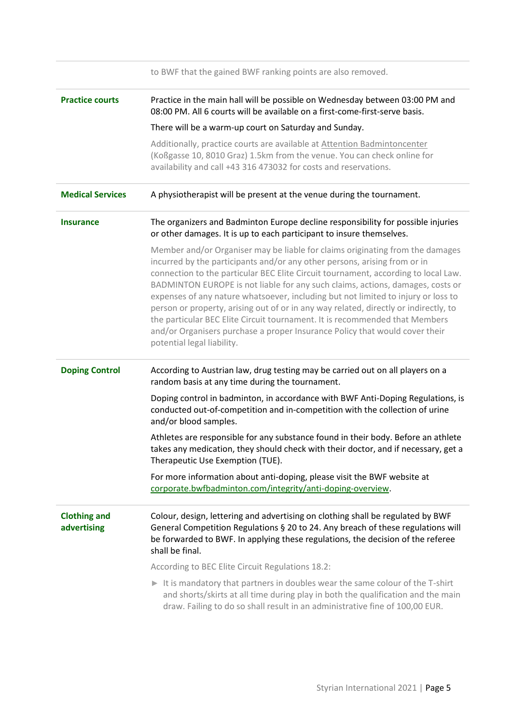|                                    | to BWF that the gained BWF ranking points are also removed.                                                                                                                                                                                                                                                                                                                                                                                                                                                                                                                                                                                                                                                 |  |  |  |  |  |
|------------------------------------|-------------------------------------------------------------------------------------------------------------------------------------------------------------------------------------------------------------------------------------------------------------------------------------------------------------------------------------------------------------------------------------------------------------------------------------------------------------------------------------------------------------------------------------------------------------------------------------------------------------------------------------------------------------------------------------------------------------|--|--|--|--|--|
| <b>Practice courts</b>             | Practice in the main hall will be possible on Wednesday between 03:00 PM and<br>08:00 PM. All 6 courts will be available on a first-come-first-serve basis.                                                                                                                                                                                                                                                                                                                                                                                                                                                                                                                                                 |  |  |  |  |  |
|                                    | There will be a warm-up court on Saturday and Sunday.                                                                                                                                                                                                                                                                                                                                                                                                                                                                                                                                                                                                                                                       |  |  |  |  |  |
|                                    | Additionally, practice courts are available at Attention Badmintoncenter<br>(Koßgasse 10, 8010 Graz) 1.5km from the venue. You can check online for<br>availability and call +43 316 473032 for costs and reservations.                                                                                                                                                                                                                                                                                                                                                                                                                                                                                     |  |  |  |  |  |
| <b>Medical Services</b>            | A physiotherapist will be present at the venue during the tournament.                                                                                                                                                                                                                                                                                                                                                                                                                                                                                                                                                                                                                                       |  |  |  |  |  |
| <b>Insurance</b>                   | The organizers and Badminton Europe decline responsibility for possible injuries<br>or other damages. It is up to each participant to insure themselves.                                                                                                                                                                                                                                                                                                                                                                                                                                                                                                                                                    |  |  |  |  |  |
|                                    | Member and/or Organiser may be liable for claims originating from the damages<br>incurred by the participants and/or any other persons, arising from or in<br>connection to the particular BEC Elite Circuit tournament, according to local Law.<br>BADMINTON EUROPE is not liable for any such claims, actions, damages, costs or<br>expenses of any nature whatsoever, including but not limited to injury or loss to<br>person or property, arising out of or in any way related, directly or indirectly, to<br>the particular BEC Elite Circuit tournament. It is recommended that Members<br>and/or Organisers purchase a proper Insurance Policy that would cover their<br>potential legal liability. |  |  |  |  |  |
| <b>Doping Control</b>              | According to Austrian law, drug testing may be carried out on all players on a<br>random basis at any time during the tournament.                                                                                                                                                                                                                                                                                                                                                                                                                                                                                                                                                                           |  |  |  |  |  |
|                                    | Doping control in badminton, in accordance with BWF Anti-Doping Regulations, is<br>conducted out-of-competition and in-competition with the collection of urine<br>and/or blood samples.                                                                                                                                                                                                                                                                                                                                                                                                                                                                                                                    |  |  |  |  |  |
|                                    | Athletes are responsible for any substance found in their body. Before an athlete<br>takes any medication, they should check with their doctor, and if necessary, get a<br>Therapeutic Use Exemption (TUE).                                                                                                                                                                                                                                                                                                                                                                                                                                                                                                 |  |  |  |  |  |
|                                    | For more information about anti-doping, please visit the BWF website at<br>corporate.bwfbadminton.com/integrity/anti-doping-overview.                                                                                                                                                                                                                                                                                                                                                                                                                                                                                                                                                                       |  |  |  |  |  |
| <b>Clothing and</b><br>advertising | Colour, design, lettering and advertising on clothing shall be regulated by BWF<br>General Competition Regulations § 20 to 24. Any breach of these regulations will<br>be forwarded to BWF. In applying these regulations, the decision of the referee<br>shall be final.                                                                                                                                                                                                                                                                                                                                                                                                                                   |  |  |  |  |  |
|                                    | According to BEC Elite Circuit Regulations 18.2:                                                                                                                                                                                                                                                                                                                                                                                                                                                                                                                                                                                                                                                            |  |  |  |  |  |
|                                    | $\triangleright$ It is mandatory that partners in doubles wear the same colour of the T-shirt<br>and shorts/skirts at all time during play in both the qualification and the main<br>draw. Failing to do so shall result in an administrative fine of 100,00 EUR.                                                                                                                                                                                                                                                                                                                                                                                                                                           |  |  |  |  |  |